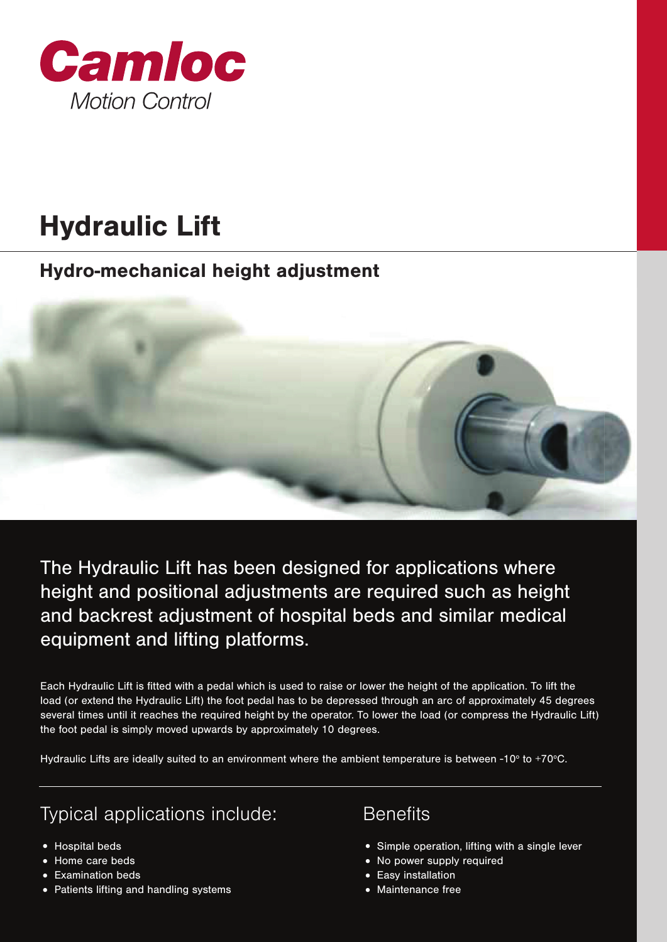

# Hydraulic Lift

## Hydro-mechanical height adjustment

The Hydraulic Lift has been designed for applications where height and positional adjustments are required such as height and backrest adjustment of hospital beds and similar medical equipment and lifting platforms.

Each Hydraulic Lift is fitted with a pedal which is used to raise or lower the height of the application. To lift the load (or extend the Hydraulic Lift) the foot pedal has to be depressed through an arc of approximately 45 degrees several times until it reaches the required height by the operator. To lower the load (or compress the Hydraulic Lift) the foot pedal is simply moved upwards by approximately 10 degrees.

Hydraulic Lifts are ideally suited to an environment where the ambient temperature is between -10° to +70°C.

## Typical applications include: Benefits

- 
- 
- 
- Examination beds Easy installation Patients lifting and handling systems

- Hospital beds Simple operation, lifting with a single lever
- Home care beds No power supply required
	-
	-